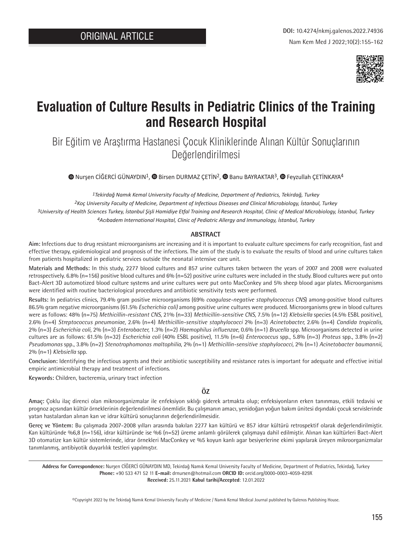

# **Evaluation of Culture Results in Pediatric Clinics of the Training and Research Hospital**

Bir Eğitim ve Araştırma Hastanesi Çocuk Kliniklerinde Alınan Kültür Sonuçlarının Değerlendirilmesi

 $\bullet$  [N](https://orcid.org/0000-0003-4059-829X)ursenCİĞERCİ GÜNAYDIN<sup>1</sup>[,](https://orcid.org/0000-0002-3128-0581)  $\bullet$  Birsen DURMAZ CETİN<sup>2</sup>,  $\bullet$  Banu BAYRAKTAR<sup>3</sup>,  $\bullet$  Feyzullah CETİNKAYA<sup>4</sup>

*Tekirdağ Namık Kemal University Faculty of Medicine, Department of Pediatrics, Tekirdağ, Turkey Koç University Faculty of Medicine, Department of Infectious Diseases and Clinical Microbiology, İstanbul, Turkey University of Health Sciences Turkey, İstanbul Şişli Hamidiye Etfal Training and Research Hospital, Clinic of Medical Microbiology, İstanbul, Turkey Acıbadem International Hospital, Clinic of Pediatric Allergy and Immunology, İstanbul, Turkey*

## **ABSTRACT**

**Aim:** Infections due to drug resistant microorganisms are increasing and it is important to evaluate culture specimens for early recognition, fast and effective therapy, epidemiological and prognosis of the infections. The aim of the study is to evaluate the results of blood and urine cultures taken from patients hospitalized in pediatric services outside the neonatal intensive care unit.

**Materials and Methods:** In this study, 2277 blood cultures and 857 urine cultures taken between the years of 2007 and 2008 were evaluated retrospectively. 6.8% (n=156) positive blood cultures and 6% (n=52) positive urine cultures were included in the study. Blood cultures were put onto Bact-Alert 3D automotized blood culture systems and urine cultures were put onto MacConkey and 5% sheep blood agar plates. Microorganisms were identified with routine bacteriological procedures and antibiotic sensitivity tests were performed.

**Results:** In pediatrics clinics, 79.4% gram positive microorganisms (69% *coagulase-negative staphylococcus CNS*) among positive blood cultures 86.5% gram negative microorganisms (61.5% *Escherichia coli)* among positive urine cultures were produced. Microorganisms grew in blood cultures were as follows: 48% (n=75) *Methicillin-resistant CNS,* 21% (n=33) *Methicillin-sensitive CNS,* 7.5% (n=12) *Klebsiella* species (4.5% ESBL positive), 2.6% (n=4) *Streptococcus pneumoniae*, 2.6% (n=4) *Methicillin-sensitive staphylococci* 2% (n=3) *Acinetobacter,* 2.6% (n=4) *Candida tropicalis,*  2% (n=3) *Escherichia coli,* 2% (n=3) *Enterobacter,* 1.3% (n=2) *Haemophilus influenzae,* 0.6% (n=1) *Brucella* spp. Microorganisms detected in urine cultures are as follows: 61.5% (n=32) *Escherichia coli* (40% ESBL positive), 11.5% (n=6) *Enterococcus* spp., 5.8% (n=3) *Proteus* spp., 3.8% (n=2) *Pseudomonas* spp., 3.8% (n=2) *Stenotrophomonas maltophilia*, 2% (n=1) *Methicillin-sensitive staphylococci,* 2% (n=1) *Acinetobacter baumannii,*  2% (n=1) *Klebsiella* spp.

**Conclusion:** Identifying the infectious agents and their antibiotic susceptibility and resistance rates is important for adequate and effective initial empiric antimicrobial therapy and treatment of infections.

**Keywords:** Children, bacteremia, urinary tract infection

**ÖZ**

**Amaç:** Çoklu ilaç direnci olan mikroorganizmalar ile enfeksiyon sıklığı giderek artmakta olup; enfeksiyonların erken tanınması, etkili tedavisi ve prognoz açısından kültür örneklerinin değerlendirilmesi önemlidir. Bu çalışmanın amacı, yenidoğan yoğun bakım ünitesi dışındaki çocuk servislerinde yatan hastalardan alınan kan ve idrar kültürü sonuçlarının değerlendirilmesidir.

**Gereç ve Yöntem:** Bu çalışmada 2007-2008 yılları arasında bakılan 2277 kan kültürü ve 857 idrar kültürü retrospektif olarak değerlendirilmiştir. Kan kültüründe %6,8 (n=156), idrar kültüründe ise %6 (n=52) üreme anlamlı görülerek çalışmaya dahil edilmiştir. Alınan kan kültürleri Bact-Alert 3D otomatize kan kültür sistemlerinde, idrar örnekleri MacConkey ve %5 koyun kanlı agar besiyerlerine ekimi yapılarak üreyen mikroorganizmalar tanımlanmış, antibiyotik duyarlılık testleri yapılmıştır.

**Address for Correspondence:** Nurşen CİĞERCİ GÜNAYDIN MD, Tekirdağ Namık Kemal University Faculty of Medicine, Department of Pediatrics, Tekirdağ, Turkey **Phone:** +90 533 471 52 11 **E-mail:** drnursen@hotmail.com **ORCID ID:** orcid.org/0000-0003-4059-829X **Received:** 25.11.2021 **Kabul tarihi/Accepted**: 12.01.2022

©Copyright 2022 by the Tekirdağ Namık Kemal University Faculty of Medicine / Namık Kemal Medical Journal published by Galenos Publishing House.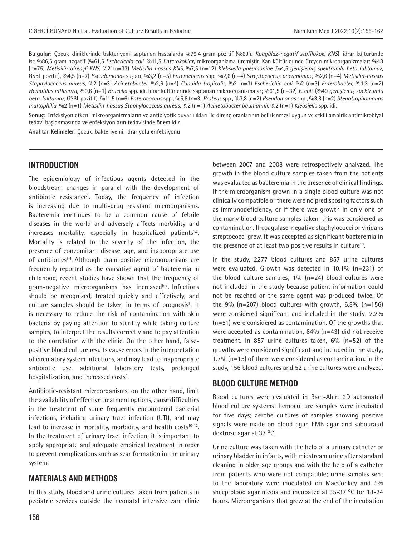**Bulgular:** Çocuk kliniklerinde bakteriyemi saptanan hastalarda %79,4 gram pozitif (%69'u *Koagülaz-negatif stafilokok, KNS*), idrar kültüründe ise %86,5 gram negatif (%61,5 *Escherichia coli,* %11,5 *Enterokoklar)* mikroorganizma üremiştir. Kan kültürlerinde üreyen mikroorganizmalar: %48 (n=75) *Metisilin-dirençli KNS,* %21(n=33) *Metisilin-hassas KNS*, %7,5 (n=12) *Klebsiella pneumoniae* (%4,5 *genişlemiş spektrumlu beta-laktamaz,*  GSBL pozitif), %4,5 (n=7) *Pseudomonas* suşları, %3,2 (n=5) *Enterococcus* spp., %2,6 (n=4) *Streptococcus pneumoniae*, %2,6 (n=4) *Metisilin-hassas Staphylococcus aureus*, %2 (n=3) *Acinetobacter,* %2,6 (n=4) *Candida tropicalis,* %2 (n=3) *Escherichia coli,* %2 (n=3) *Enterobacter,* %1,3 (n=2) *Hemofilus influenza,* %0,6 (n=1) *Brucella* spp. idi. İdrar kültürlerinde saptanan mikroorganizmalar; %61,5 (n=32) *E. coli*, (%40 *genişlemiş spektrumlu beta-laktamaz,* GSBL pozitif), %11,5 (n=6) *Enterococcus* spp., %5,8 (n=3) *Proteus* spp., %3,8 (n=2) *Pseudomonas* spp., %3,8 (n=2) *Stenotrophomonas maltophilia*, %2 (n=1) *Metisilin-hassas Staphylococcus aureus,* %2 (n=1) *Acinetobacter baumannii,* %2 (n=1) *Klebsiella* spp. idi.

**Sonuç:** Enfeksiyon etkeni mikroorganizmaların ve antibiyotik duyarlılıkları ile direnç oranlarının belirlenmesi uygun ve etkili ampirik antimikrobiyal tedavi başlanmasında ve enfeksiyonların tedavisinde önemlidir.

**Anahtar Kelimeler:** Çocuk, bakteriyemi, idrar yolu enfeksiyonu

# **INTRODUCTION**

The epidemiology of infectious agents detected in the bloodstream changes in parallel with the development of antibiotic resistance<sup>1</sup>. Today, the frequency of infection is increasing due to multi-drug resistant microorganisms. Bacteremia continues to be a common cause of febrile diseases in the world and adversely affects morbidity and  $increases$  mortality, especially in hospitalized patients<sup>1,2</sup>. Mortality is related to the severity of the infection, the presence of concomitant disease, age, and inappropriate use of antibiotics<sup>3,4</sup>. Although gram-positive microorganisms are frequently reported as the causative agent of bacteremia in childhood, recent studies have shown that the frequency of gram-negative microorganisms has increased<sup>5-7</sup>. Infections should be recognized, treated quickly and effectively, and culture samples should be taken in terms of prognosis<sup>8</sup>. It is necessary to reduce the risk of contamination with skin bacteria by paying attention to sterility while taking culture samples, to interpret the results correctly and to pay attention to the correlation with the clinic. On the other hand, falsepositive blood culture results cause errors in the interpretation of circulatory system infections, and may lead to inappropriate antibiotic use, additional laboratory tests, prolonged hospitalization, and increased costs<sup>9</sup>.

Antibiotic-resistant microorganisms, on the other hand, limit the availability of effective treatment options, cause difficulties in the treatment of some frequently encountered bacterial infections, including urinary tract infection (UTI), and may lead to increase in mortality, morbidity, and health costs $10-12$ . In the treatment of urinary tract infection, it is important to apply appropriate and adequate empirical treatment in order to prevent complications such as scar formation in the urinary system.

# **MATERIALS AND METHODS**

In this study, blood and urine cultures taken from patients in pediatric services outside the neonatal intensive care clinic between 2007 and 2008 were retrospectively analyzed. The growth in the blood culture samples taken from the patients was evaluated as bacteremia in the presence of clinical findings. If the microorganism grown in a single blood culture was not clinically compatible or there were no predisposing factors such as immunodeficiency, or if there was growth in only one of the many blood culture samples taken, this was considered as contamination. If coagulase-negative staphylococci or viridans streptococci grew, it was accepted as significant bacteremia in the presence of at least two positive results in culture<sup>13</sup>.

In the study, 2277 blood cultures and 857 urine cultures were evaluated. Growth was detected in 10.1% (n=231) of the blood culture samples;  $1\%$  (n=24) blood cultures were not included in the study because patient information could not be reached or the same agent was produced twice. Of the  $9\%$  (n=207) blood cultures with growth, 6.8% (n=156) were considered significant and included in the study; 2.2% (n=51) were considered as contamination. Of the growths that were accepted as contamination, 84% (n=43) did not receive treatment. In 857 urine cultures taken, 6% (n=52) of the growths were considered significant and included in the study; 1.7% (n=15) of them were considered as contamination. In the study, 156 blood cultures and 52 urine cultures were analyzed.

## **BLOOD CULTURE METHOD**

Blood cultures were evaluated in Bact-Alert 3D automated blood culture systems; hemoculture samples were incubated for five days; aerobe cultures of samples showing positive signals were made on blood agar, EMB agar and sabouraud dextrose agar at 37 °C.

Urine culture was taken with the help of a urinary catheter or urinary bladder in infants, with midstream urine after standard cleaning in older age groups and with the help of a catheter from patients who were not compatible; urine samples sent to the laboratory were inoculated on MacConkey and 5% sheep blood agar media and incubated at  $35-37$  °C for  $18-24$ hours. Microorganisms that grew at the end of the incubation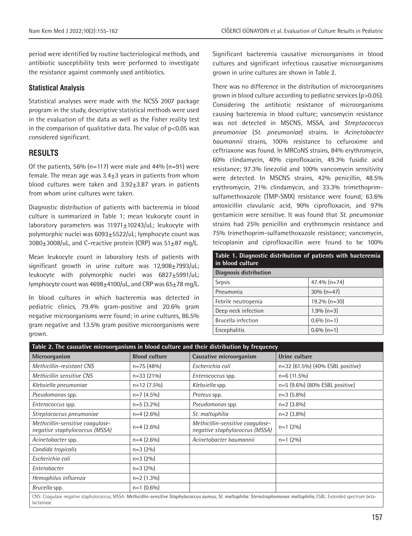period were identified by routine bacteriological methods, and antibiotic susceptibility tests were performed to investigate the resistance against commonly used antibiotics.

### **Statistical Analysis**

Statistical analyses were made with the NCSS 2007 package program in the study, descriptive statistical methods were used in the evaluation of the data as well as the Fisher reality test in the comparison of qualitative data. The value of  $p$ <0.05 was considered significant.

# **RESULTS**

Of the patients,  $56\%$  (n=117) were male and  $44\%$  (n=91) were female. The mean age was  $3.4\pm 3$  years in patients from whom blood cultures were taken and  $3.92\pm3.87$  years in patients from whom urine cultures were taken.

Diagnostic distribution of patients with bacteremia in blood culture is summarized in Table 1; mean leukocyte count in laboratory parameters was 11971+10243/uL; leukocyte with polymorphic nuclei was 6093±5522/uL; lymphocyte count was  $3080\pm3008/\mu$ L, and C-reactive protein (CRP) was  $51\pm87$  mg/L.

Mean leukocyte count in laboratory tests of patients with significant growth in urine culture was 12,908+7993/uL; leukocyte with polymorphic nuclei was  $6827 \pm 5991/\mu$ L; lymphocyte count was  $4698 \pm 4100/\mu$ L, and CRP was  $65 \pm 78$  mg/L.

In blood cultures in which bacteremia was detected in pediatric clinics, 79.4% gram-positive and 20.6% gram negative microorganisms were found; in urine cultures, 86.5% gram negative and 13.5% gram positive microorganisms were grown.

Significant bacteremia causative microorganisms in blood cultures and significant infectious causative microorganisms grown in urine cultures are shown in Table 2.

There was no difference in the distribution of microorganisms grown in blood culture according to pediatric services (p>0.05). Considering the antibiotic resistance of microorganisms causing bacteremia in blood culture; vancomycin resistance was not detected in MSCNS, MSSA, and *Streptococcus pneumoniae* (*St. pneumoniae*) strains. In *Acinetobacter baumannii* strains, 100% resistance to cefuroxime and ceftriaxone was found. In MRCoNS strains, 84% erythromycin, 60% clindamycin, 40% ciprofloxacin, 49.3% fusidic acid resistance; 97.3% linezolid and 100% vancomycin sensitivity were detected. In MSCNS strains, 42% penicillin, 48.5% erythromycin, 21% clindamycin, and 33.3% trimethoprimsulfamethoxazole (TMP-SMX) resistance were found; 63.6% amoxicillin clavulanic acid, 90% ciprofloxacin, and 97% gentamicin were sensitive. It was found that *St. pneumoniae*  strains had 25% penicillin and erythromycin resistance and 75% trimethoprim-sulfamethoxazole resistance; vancomycin, teicoplanin and ciprofloxacillin were found to be 100%

| Table 1. Diagnostic distribution of patients with bacteremia<br>in blood culture |                 |  |  |
|----------------------------------------------------------------------------------|-----------------|--|--|
| <b>Diagnosis distribution</b>                                                    |                 |  |  |
| <b>Sepsis</b>                                                                    | $47.4% (n=74)$  |  |  |
| Pneumonia                                                                        | $30\% (n=47)$   |  |  |
| Febrile neutropenia                                                              | $19.2\%$ (n=30) |  |  |
| Deep neck infection                                                              | $1.9\%$ (n=3)   |  |  |
| Brucella infection                                                               | $0.6\%$ (n=1)   |  |  |
| Encephalitis                                                                     | $0.6\%$ (n=1)   |  |  |

| Table 2. The causative microorganisms in blood culture and their distribution by frequency |                      |                                                                    |                                                                                                                                                                         |
|--------------------------------------------------------------------------------------------|----------------------|--------------------------------------------------------------------|-------------------------------------------------------------------------------------------------------------------------------------------------------------------------|
| Microorganism                                                                              | <b>Blood culture</b> | Causative microorganism                                            | Urine culture                                                                                                                                                           |
| Methicillin-resistant CNS                                                                  | $n=75(48%)$          | Escherichia coli                                                   | n=32 (61.5%) (40% ESBL positive)                                                                                                                                        |
| Methicillin sensitive CNS                                                                  | $n=33(21\%)$         | <i>Enterococcus</i> spp.                                           | $n=6$ (11.5%)                                                                                                                                                           |
| Klebsiella pneumoniae                                                                      | $n=12$ (7.5%)        | Klebsiella spp.                                                    | n=5 (9.6%) (80% ESBL positive)                                                                                                                                          |
| Pseudomonas spp.                                                                           | $n=7$ (4.5%)         | Proteus spp.                                                       | $n=3(5.8\%)$                                                                                                                                                            |
| Enterococcus spp.                                                                          | $n=5(3.2\%)$         | Pseudomonas spp.                                                   | $n=2$ (3.8%)                                                                                                                                                            |
| Streptococcus pneumoniae                                                                   | $n=4(2.6\%)$         | St. maltophilia                                                    | $n=2$ (3.8%)                                                                                                                                                            |
| Methicillin-sensitive coagulase-<br>negative staphylococcus (MSSA)                         | $n=4(2.6\%)$         | Methicillin-sensitive coagulase-<br>negative staphylococcus (MSSA) | $n=1$ (2%)                                                                                                                                                              |
| Acinetobacter spp.                                                                         | $n=4(2.6\%)$         | Acinetobacter baumannii                                            | $n=1$ (2%)                                                                                                                                                              |
| Candida tropicalis                                                                         | $n=3(2%)$            |                                                                    |                                                                                                                                                                         |
| Escherichia coli                                                                           | $n=3(2%)$            |                                                                    |                                                                                                                                                                         |
| Enterobacter                                                                               | $n=3(2%)$            |                                                                    |                                                                                                                                                                         |
| Hemophilus influenza                                                                       | $n=2$ (1.3%)         |                                                                    |                                                                                                                                                                         |
| Brucella spp.                                                                              | $n=1$ (0.6%)         |                                                                    |                                                                                                                                                                         |
| lactamase                                                                                  |                      |                                                                    | CNS: Coagulase negative staphylococcus, MSSA: Methicillin-sensitive Staphylococcus aureus, St. maltophilia: Stenotrophomonas maltophilia, ESBL: Extended spectrum beta- |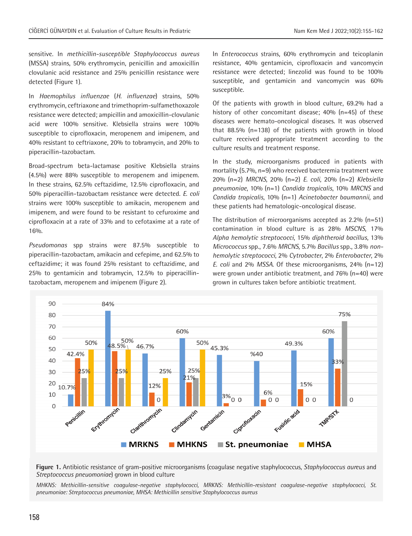sensitive. In *methicillin-susceptible Staphylococcus aureus* (MSSA) strains, 50% erythromycin, penicillin and amoxicillin clovulanic acid resistance and 25% penicillin resistance were detected (Figure 1).

In *Haemophilus influenzae* (*H. influenzae*) strains, 50% erythromycin, ceftriaxone and trimethoprim-sulfamethoxazole resistance were detected; ampicillin and amoxicillin-clovulanic acid were 100% sensitive. Klebsiella strains were 100% susceptible to ciprofloxacin, meropenem and imipenem, and 40% resistant to ceftriaxone, 20% to tobramycin, and 20% to piperacillin-tazobactam.

Broad-spectrum beta-lactamase positive Klebsiella strains (4.5%) were 88% susceptible to meropenem and imipenem. In these strains, 62.5% ceftazidime, 12.5% ciprofloxacin, and 50% piperacillin-tazobactam resistance were detected. *E. coli* strains were 100% susceptible to amikacin, meropenem and imipenem, and were found to be resistant to cefuroxime and ciprofloxacin at a rate of 33% and to cefotaxime at a rate of 16%.

*Pseudomonas* spp strains were 87.5% susceptible to piperacillin-tazobactam, amikacin and cefepime, and 62.5% to ceftazidime; it was found 25% resistant to ceftazidime, and 25% to gentamicin and tobramycin, 12.5% to piperacillintazobactam, meropenem and imipenem (Figure 2).

In *Enterococcus* strains, 60% erythromycin and teicoplanin resistance, 40% gentamicin, ciprofloxacin and vancomycin resistance were detected; linezolid was found to be 100% susceptible, and gentamicin and vancomycin was 60% susceptible.

Of the patients with growth in blood culture, 69.2% had a history of other concomitant disease; 40% (n=45) of these diseases were hemato-oncological diseases. It was observed that 88.5% (n=138) of the patients with growth in blood culture received appropriate treatment according to the culture results and treatment response.

In the study, microorganisms produced in patients with mortality (5.7%, n=9) who received bacteremia treatment were 20% (n=2) *MRCNS*, 20% (n=2) *E. coli*, 20% (n=2) *Klebsiella pneumoniae*, 10% (n=1) *Candida tropicalis*, 10% *MRCNS* and *Candida tropicalis*, 10% (n=1) *Acinetobacter baumannii*, and these patients had hematologic-oncological disease.

The distribution of microorganisms accepted as 2.2% (n=51) contamination in blood culture is as 28% *MSCNS*, 17% *Alpha hemolytic streptococci*, 15% *diphtheroid bacillus*, 13% *Micrococcus* spp., 7.6% *MRCNS*, 5.7% *Bacillus* spp., 3.8% *nonhemolytic streptococci*, 2% *Cytrobacter*, 2% *Enterobacter*, 2% *E. coli* and 2% *MSSA*. Of these microorganisms, 24% (n=12) were grown under antibiotic treatment, and 76% (n=40) were grown in cultures taken before antibiotic treatment.





*MHKNS: Methicillin-sensitive coagulase-negative staphylococci, MRKNS: Methicillin-resistant coagulase-negative staphylococci, St. pneumoniae: Streptococcus pneumoniae, MHSA: Methicillin sensitive Staphylococcus aureus*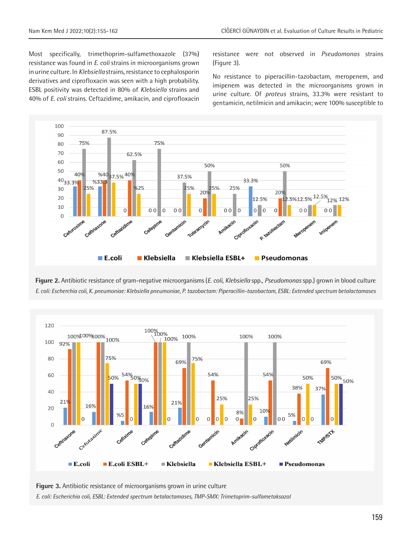Most specifically, trimethoprim-sulfamethoxazole (37%) resistance was found in *E. coli* strains in microorganisms grown in urine culture. In *Klebsiella* strains, resistance to cephalosporin derivatives and ciprofloxacin was seen with a high probability. ESBL positivity was detected in 80% of *Klebsiella* strains and 40% of *E. coli* strains. Ceftazidime, amikacin, and ciprofloxacin

resistance were not observed in *Pseudomonas* strains (Figure 3).

No resistance to piperacillin-tazobactam, meropenem, and imipenem was detected in the microorganisms grown in urine culture. Of *proteus* strains, 33.3% were resistant to gentamicin, netilmicin and amikacin; were 100% susceptible to



**Figure 2.** Antibiotic resistance of gram-negative microorganisms (*E. coli, Klebsiella* spp., *Pseudomonas* spp.) grown in blood culture *E. coli: Escherchia coli, K. pneumoniae: Klebsiella pneumoniae, P. tazobactam: Piperacillin-tazobactam, ESBL: Extended spectrum betalactamases*



**Figure 3.** Antibiotic resistance of microorganisms grown in urine culture *E. coli: Escherichia coli, ESBL: Extended spectrum betalactamases, TMP-SMX: Trimetoprim-sulfametaksazol*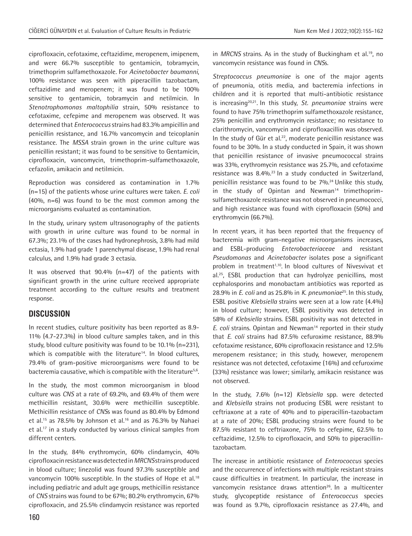ciprofloxacin, cefotaxime, ceftazidime, meropenem, imipenem, and were 66.7% susceptible to gentamicin, tobramycin, trimethoprim sulfamethoxazole. For *Acinetobacter baumanni*, 100% resistance was seen with piperacillin tazobactam, ceftazidime and meropenem; it was found to be 100% sensitive to gentamicin, tobramycin and netilmicin. In *Stenotrophomonas maltophilia* strain, 50% resistance to cefotaxime, cefepime and meropenem was observed. It was determined that *Enterococcus* strains had 83.3% ampicillin and penicillin resistance, and 16.7% vancomycin and teicoplanin resistance. The *MSSA* strain grown in the urine culture was penicillin resistant; it was found to be sensitive to Gentamicin, ciprofloxacin, vancomycin, trimethoprim-sulfamethoxazole, cefazolin, amikacin and netilmicin.

Reproduction was considered as contamination in 1.7% (n=15) of the patients whose urine cultures were taken. *E. coli* (40%, n=6) was found to be the most common among the microorganisms evaluated as contamination.

In the study, urinary system ultrasonography of the patients with growth in urine culture was found to be normal in 67.3%; 23.1% of the cases had hydronephrosis, 3.8% had mild ectasia, 1.9% had grade 1 parenchymal disease, 1.9% had renal calculus, and 1.9% had grade 3 ectasia.

It was observed that  $90.4\%$  (n=47) of the patients with significant growth in the urine culture received appropriate treatment according to the culture results and treatment response.

# **DISCUSSION**

In recent studies, culture positivity has been reported as 8.9- 11% (4.7-27.3%) in blood culture samples taken, and in this study, blood culture positivity was found to be 10.1% (n=231), which is compatible with the literature<sup>14</sup>. In blood cultures, 79.4% of gram-positive microorganisms were found to be bacteremia causative, which is compatible with the literature<sup>5,6</sup>.

In the study, the most common microorganism in blood culture was *CNS* at a rate of 69.2%, and 69.4% of them were methicillin resistant, 30.6% were methicillin susceptible. Methicillin resistance of *CNS*s was found as 80.4% by Edmond et al.<sup>15</sup> as 78.5% by Johnson et al.<sup>16</sup> and as 76.3% by Nahaei et al.<sup>17</sup> in a study conducted by various clinical samples from different centers.

In the study, 84% erythromycin, 60% clindamycin, 40% ciprofloxacin resistance was detected in *MRCNS* strains produced in blood culture; linezolid was found 97.3% susceptible and vancomycin 100% susceptible. In the studies of Hope et al.<sup>18</sup> including pediatric and adult age groups, methicillin resistance of *CNS* strains was found to be 67%; 80.2% erythromycin, 67% ciprofloxacin, and 25.5% clindamycin resistance was reported in *MRCNS* strains. As in the study of Buckingham et al.19, no vancomycin resistance was found in *CNS*s.

*Streptococcus pneumoniae* is one of the major agents of pneumonia, otitis media, and bacteremia infections in children and it is reported that multi-antibiotic resistance is increasing20,21. In this study, *St. pneumoniae* strains were found to have 75% trimethoprim sulfamethoxazole resistance, 25% penicillin and erythromycin resistance; no resistance to clarithromycin, vancomycin and ciprofloxacillin was observed. In the study of Gür et al.<sup>22</sup>, moderate penicillin resistance was found to be 30%. In a study conducted in Spain, it was shown that penicillin resistance of invasive pneumococcal strains was 33%, erythromycin resistance was 25.7%, and cefotaxime resistance was 8.4%.<sup>23</sup> In a study conducted in Switzerland, penicillin resistance was found to be 7%.<sup>24</sup> Unlike this study, in the study of Opintan and Newman<sup>14</sup> trimethoprimsulfamethoxazole resistance was not observed in pneumococci, and high resistance was found with ciprofloxacin (50%) and erythromycin (66.7%).

In recent years, it has been reported that the frequency of bacteremia with gram-negative microorganisms increases, and ESBL-producing *Enterobacteriaceae* and resistant *Pseudomonas* and *Acinetobacter* isolates pose a significant problem in treatment<sup>1,10</sup>. In blood cultures of Nivesvivat et al.25, ESBL production that can hydrolyze penicillins, most cephalosporins and monobactam antibiotics was reported as 28.9% in *E. coli* and as 25.8% in *K. pneumoniae*25. In this study, ESBL positive *Klebsiella* strains were seen at a low rate (4.4%) in blood culture; however, ESBL positivity was detected in 58% of *Klebsiella* strains. ESBL positivity was not detected in *E. coli* strains. Opintan and Newman<sup>14</sup> reported in their study that *E. coli* strains had 87.5% cefuroxime resistance, 88.9% cefotaxime resistance, 60% ciprofloxacin resistance and 12.5% meropenem resistance; in this study, however, meropenem resistance was not detected, cefotaxime (16%) and cefuroxime (33%) resistance was lower; similarly, amikacin resistance was not observed.

In the study, 7.6% (n=12) *Klebsiella* spp. were detected and *Klebsiella* strains not producing ESBL were resistant to ceftriaxone at a rate of 40% and to piperacillin-tazobactam at a rate of 20%; ESBL producing strains were found to be 87.5% resistant to ceftriaxone, 75% to cefepime, 62.5% to ceftazidime, 12.5% to ciprofloxacin, and 50% to piperacillintazobactam.

The increase in antibiotic resistance of *Enterococcus* species and the occurrence of infections with multiple resistant strains cause difficulties in treatment. In particular, the increase in vancomycin resistance draws attention<sup>26</sup>. In a multicenter study, glycopeptide resistance of *Enterococcus* species was found as 9.7%, ciprofloxacin resistance as 27.4%, and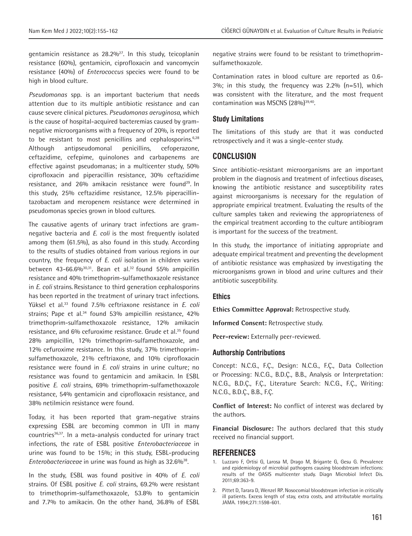gentamicin resistance as  $28.2\%^{27}$ . In this study, teicoplanin resistance (60%), gentamicin, ciprofloxacin and vancomycin resistance (40%) of *Enterococcus* species were found to be high in blood culture.

*Pseudomonas* spp. is an important bacterium that needs attention due to its multiple antibiotic resistance and can cause severe clinical pictures. *Pseudomonas aeruginosa*, which is the cause of hospital-acquired bacteremias caused by gramnegative microorganisms with a frequency of 20%, is reported to be resistant to most penicillins and cephalosporins.<sup>6,28</sup> Although antipseudomonal penicillins, cefoperazone, ceftazidime, cefepime, quinolones and carbapenems are effective against pseudomanas; in a multicenter study, 50% ciprofloxacin and piperacillin resistance, 30% ceftazidime resistance, and 26% amikacin resistance were found<sup>29</sup>. In this study, 25% ceftazidime resistance, 12.5% piperacillintazobactam and meropenem resistance were determined in pseudomonas species grown in blood cultures.

The causative agents of urinary tract infections are gramnegative bacteria and *E. coli* is the most frequently isolated among them (61.5%), as also found in this study. According to the results of studies obtained from various regions in our country, the frequency of *E. coli* isolation in children varies between 43-66.6% $30,30,31$ . Bean et al.<sup>32</sup> found 55% ampicillin resistance and 40% trimethoprim-sulfamethoxazole resistance in *E. coli* strains. Resistance to third generation cephalosporins has been reported in the treatment of urinary tract infections. Yüksel et al.33 found 7.5% ceftriaxone resistance in *E. coli* strains; Pape et al.<sup>34</sup> found 53% ampicillin resistance, 42% trimethoprim-sulfamethoxazole resistance, 12% amikacin resistance, and 6% cefuroxime resistance. Grude et al.<sup>35</sup> found 28% ampicillin, 12% trimethoprim-sulfamethoxazole, and 12% cefuroxime resistance. In this study, 37% trimethoprimsulfamethoxazole, 21% ceftriaxone, and 10% ciprofloxacin resistance were found in *E. coli* strains in urine culture; no resistance was found to gentamicin and amikacin. In ESBL positive *E. coli* strains, 69% trimethoprim-sulfamethoxazole resistance, 54% gentamicin and ciprofloxacin resistance, and 38% netilmicin resistance were found.

Today, it has been reported that gram-negative strains expressing ESBL are becoming common in UTI in many countries<sup>36,37</sup>. In a meta-analysis conducted for urinary tract infections, the rate of ESBL positive *Enterobacteriaceae* in urine was found to be 15%; in this study, ESBL-producing *Enterobacteriaceae* in urine was found as high as 32.6%<sup>38</sup>.

In the study, ESBL was found positive in 40% of *E. coli* strains. Of ESBL positive *E. coli* strains, 69.2% were resistant to trimethoprim-sulfamethoxazole, 53.8% to gentamicin and 7.7% to amikacin. On the other hand, 36.8% of ESBL

negative strains were found to be resistant to trimethoprimsulfamethoxazole.

Contamination rates in blood culture are reported as 0.6- 3%; in this study, the frequency was 2.2% (n=51), which was consistent with the literature, and the most frequent contamination was MSCNS (28%)<sup>39,40</sup>.

#### **Study Limitations**

The limitations of this study are that it was conducted retrospectively and it was a single-center study.

## **CONCLUSION**

Since antibiotic-resistant microorganisms are an important problem in the diagnosis and treatment of infectious diseases, knowing the antibiotic resistance and susceptibility rates against microorganisms is necessary for the regulation of appropriate empirical treatment. Evaluating the results of the culture samples taken and reviewing the appropriateness of the empirical treatment according to the culture antibiogram is important for the success of the treatment.

In this study, the importance of initiating appropriate and adequate empirical treatment and preventing the development of antibiotic resistance was emphasized by investigating the microorganisms grown in blood and urine cultures and their antibiotic susceptibility.

#### **Ethics**

**Ethics Committee Approval:** Retrospective study.

**Informed Consent:** Retrospective study.

**Peer-review:** Externally peer-reviewed.

#### **Authorship Contributions**

Concept: N.C.G., F.Ç., Design: N.C.G., F.Ç., Data Collection or Processing: N.C.G., B.D.Ç., B.B., Analysis or Interpretation: N.C.G., B.D.Ç., F.Ç., Literature Search: N.C.G., F.Ç., Writing: N.C.G., B.D.Ç., B.B., F.Ç.

**Conflict of Interest:** No conflict of interest was declared by the authors.

**Financial Disclosure:** The authors declared that this study received no financial support.

#### **REFERENCES**

- 1. Luzzaro F, Ortisi G, Larosa M, Drago M, Brigante G, Gesu G. Prevalence and epidemiology of microbial pathogens causing bloodstream infections: results of the OASIS multicenter study. Diagn Microbiol Infect Dis. 2011;69:363-9.
- 2. Pittet D, Tarara D, Wenzel RP. Nosocomial bloodstream infection in critically ill patients. Excess length of stay, extra costs, and attributable mortality. JAMA. 1994;271:1598-601.